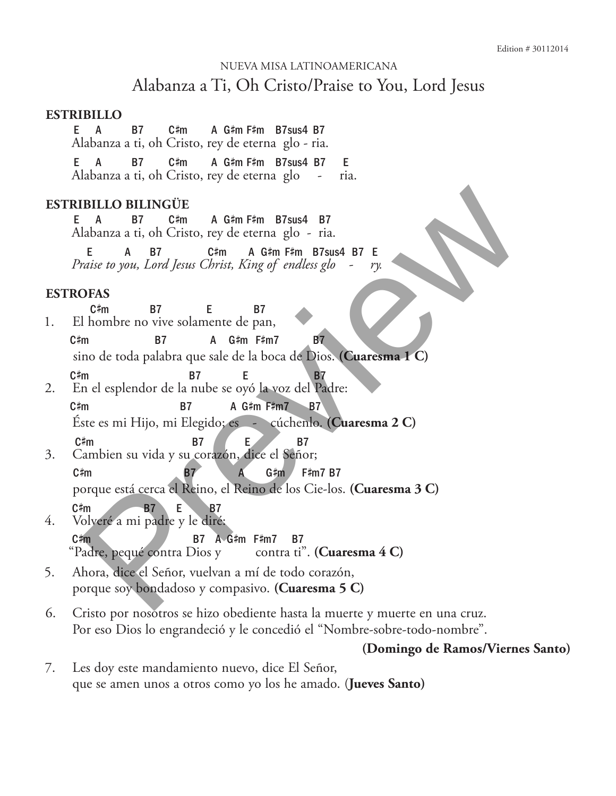# Nueva Misa Latinoamericana Alabanza a Ti, Oh Cristo/Praise to You, Lord Jesus

#### **Estribillo**

 $E$  A B7 C#m m A G# m F# m B7sus4 B7 Alabanza a ti, oh Cristo, rey de eterna glo - ria.

E A B7 C#m m A G# m F# m B7sus4 B7 E Alabanza a ti, oh Cristo, rey de eterna glo - ria.

### **Estribillo bilingüe**

E A B7 C# m A G# m F# m B7sus4 B7 Alabanza a ti, oh Cristo, rey de eterna glo - ria.

E A B7 C# m A G# m F# m B7sus4 B7 E *Praise to you, Lord Jesus Christ, King of endless glo - ry.*

### **Estrofas**

 $C \#m$ m B7 E B7 1. El hombre no vive solamente de pan,  $C \# m$ m B7 A G# m F# m7 B7 sino de toda palabra que sale de la boca de Dios. **(Cuaresma 1 C)** C# m B7 E B7

- 2. En el esplendor de la nube se oyó la voz del Padre:  $C \# m$ m B7 A G#m F#m7 B7 Éste es mi Hijo, mi Elegido; es - cúchenlo. **(Cuaresma 2 C)**  $C \#m$
- m B7 E B7 3. Cambien su vida y su corazón, dice el Señor;  $C \# m$ m B7 A G# m F# m7 B7 porque está cerca el Reino, el Reino de los Cie-los. **(Cuaresma 3 C)**  $C \#m$ m B7 E B7 4. Volveré a mi padre y le diré: **IBILLO BILINGÜE**<br>
1 A B7 C# A G#m F#m B7sus4 B7<br>
Labanza a ti, oh Cristo, rey de eterna glo - ria.<br>
E A B7 C#m A G#m F#m B7sus4 B7 E<br>
C#m B7 C#m A G#m F#m B7sus4 B7 E<br>
OFAS<br>
2 c#m B7 E B7<br>
12 In mbre no vive solamente de
	- $C \ddagger m$ m B7 A G# m F# m7 B7 "Padre, pequé contra Dios y contra ti". **(Cuaresma 4 C)**
- 5. Ahora, dice el Señor, vuelvan a mí de todo corazón, porque soy bondadoso y compasivo. **(Cuaresma 5 C)**
- 6. Cristo por nosotros se hizo obediente hasta la muerte y muerte en una cruz. Por eso Dios lo engrandeció y le concedió el "Nombre-sobre-todo-nombre".

## **(Domingo de Ramos/Viernes Santo)**

7. Les doy este mandamiento nuevo, dice El Señor, que se amen unos a otros como yo los he amado. (**Jueves Santo)**